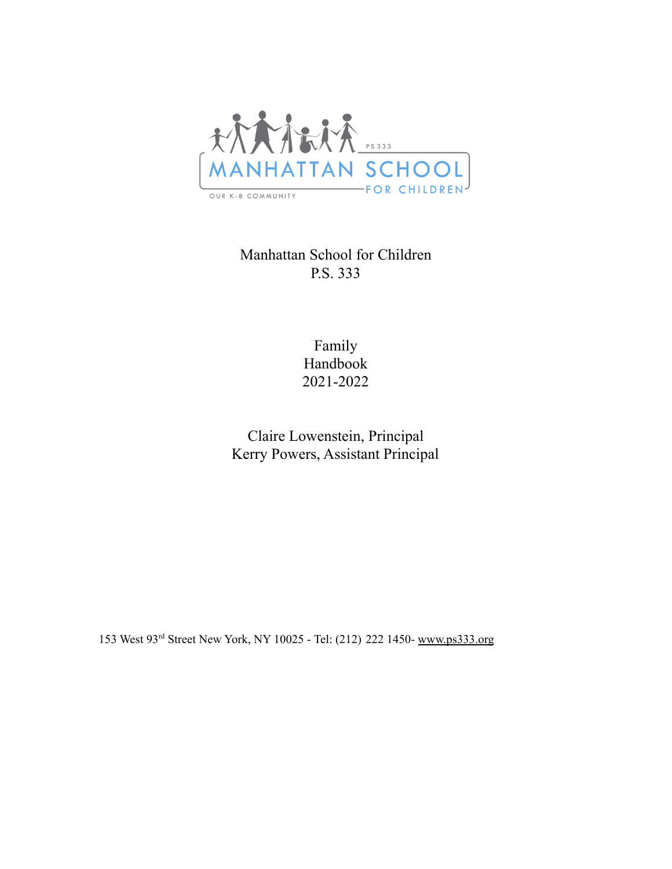

Manhattan School for Children P.S. 333

> Family Handbook 2021-2022

Claire Lowenstein, Principal Kerry Powers, Assistant Principal

153 West 93rd Street New York, NY 10025 - Tel: (212) 222 1450- [www.ps333.org](http://www.ps333.org)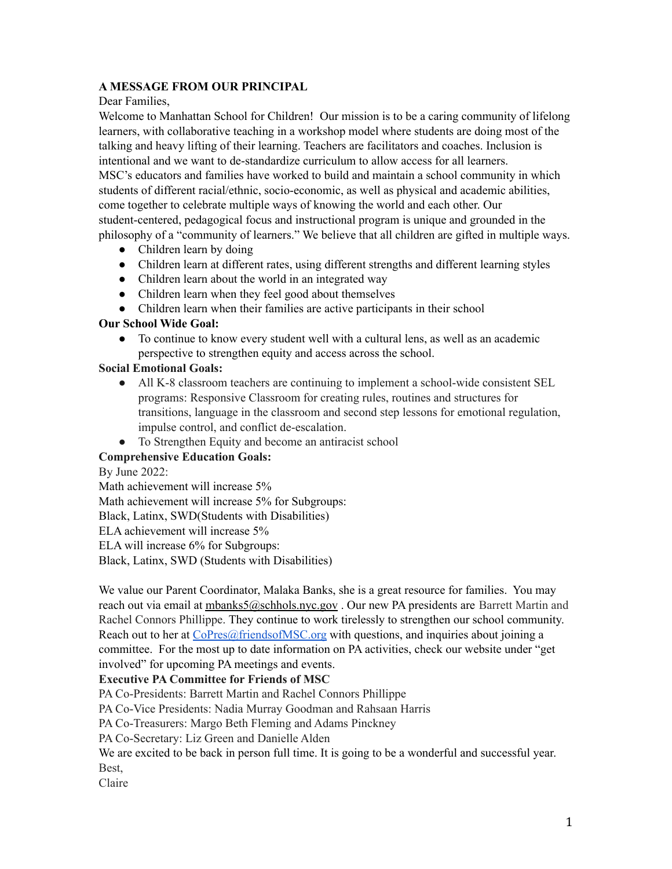# **A MESSAGE FROM OUR PRINCIPAL**

# Dear Families,

Welcome to Manhattan School for Children! Our mission is to be a caring community of lifelong learners, with collaborative teaching in a workshop model where students are doing most of the talking and heavy lifting of their learning. Teachers are facilitators and coaches. Inclusion is intentional and we want to de-standardize curriculum to allow access for all learners. MSC's educators and families have worked to build and maintain a school community in which students of different racial/ethnic, socio-economic, as well as physical and academic abilities, come together to celebrate multiple ways of knowing the world and each other. Our student-centered, pedagogical focus and instructional program is unique and grounded in the philosophy of a "community of learners." We believe that all children are gifted in multiple ways.

- Children learn by doing
- Children learn at different rates, using different strengths and different learning styles
- Children learn about the world in an integrated way
- Children learn when they feel good about themselves
- Children learn when their families are active participants in their school

# **Our School Wide Goal:**

● To continue to know every student well with a cultural lens, as well as an academic perspective to strengthen equity and access across the school.

# **Social Emotional Goals:**

- All K-8 classroom teachers are continuing to implement a school-wide consistent SEL programs: Responsive Classroom for creating rules, routines and structures for transitions, language in the classroom and second step lessons for emotional regulation, impulse control, and conflict de-escalation.
- To Strengthen Equity and become an antiracist school

# **Comprehensive Education Goals:**

### By June 2022:

Math achievement will increase 5% Math achievement will increase 5% for Subgroups: Black, Latinx, SWD(Students with Disabilities) ELA achievement will increase 5% ELA will increase 6% for Subgroups: Black, Latinx, SWD (Students with Disabilities)

We value our Parent Coordinator, Malaka Banks, she is a great resource for families. You may reach out via email at [mbanks5@schhols.nyc.gov](mailto:mbanks5@schhols.nyc.gov) . Our new PA presidents are Barrett Martin and Rachel Connors Phillippe. They continue to work tirelessly to strengthen our school community. Reach out to her at CoPres@friendsofMSC.org with questions, and inquiries about joining a committee. For the most up to date information on PA activities, check our website under "get involved" for upcoming PA meetings and events.

# **Executive PA Committee for Friends of MSC**

PA Co-Presidents: Barrett Martin and Rachel Connors Phillippe

PA Co-Vice Presidents: Nadia Murray Goodman and Rahsaan Harris

PA Co-Treasurers: Margo Beth Fleming and Adams Pinckney

PA Co-Secretary: Liz Green and Danielle Alden

We are excited to be back in person full time. It is going to be a wonderful and successful year. Best,

Claire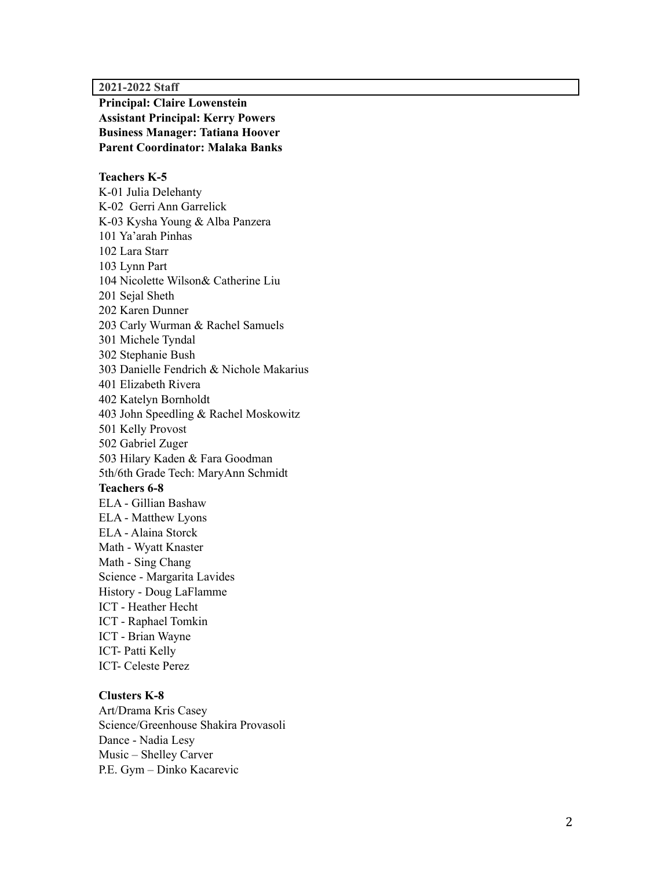#### **2 0 2 1 - 2 0 2 2 S t a ff**

**Principal: Claire Lowenstein Assistant Principal: Kerry Powers Business Manager: Tatiana Hoover Parent Coordinator: Malaka Banks** 

#### Teachers K-5

K-01 Julia Delehanty K-02 Gerri Ann Garrelick K-03 Kysha Young & Alba Panzera 101 Ya'arah Pinhas 102 Lara Starr 103 Lynn Part 104 Nicolette Wilson& Catherine Liu 201 Sejal Sheth 202 Karen Dunner 203 Carly Wurman & Rachel Samuels 301 Michele Tyndal 302 Stephanie Bush 303 Danielle Fendrich & Nichole Makarius 401 Elizabeth Rivera 402 Katelyn Bornholdt 403 John Speedling & Rachel Moskowitz 501 Kelly Provost 502 Gabriel Zuger 503 Hilary Kaden & Fara Goodman 5th/6th Grade Tech: MaryAnn Schmidt Teachers 6-8 ELA - Gillian Bashaw ELA - Matthew Lyons ELA - Alaina Storck Math - Wyatt Knaster Math - Sing Chang Science - Margarita Lavides History - Doug LaFlamme ICT - Heather Hecht ICT - Raphael Tomkin ICT - Brian Wayne ICT- Patti Kelly ICT- Celeste Perez

#### **C l u s t e r s K - 8**

Art/Drama Kris Casey Science/Greenhouse Shakira Provasoli Dance - Nadia Lesy Music - Shelley Carver P.E. Gym - Dinko Kacarevic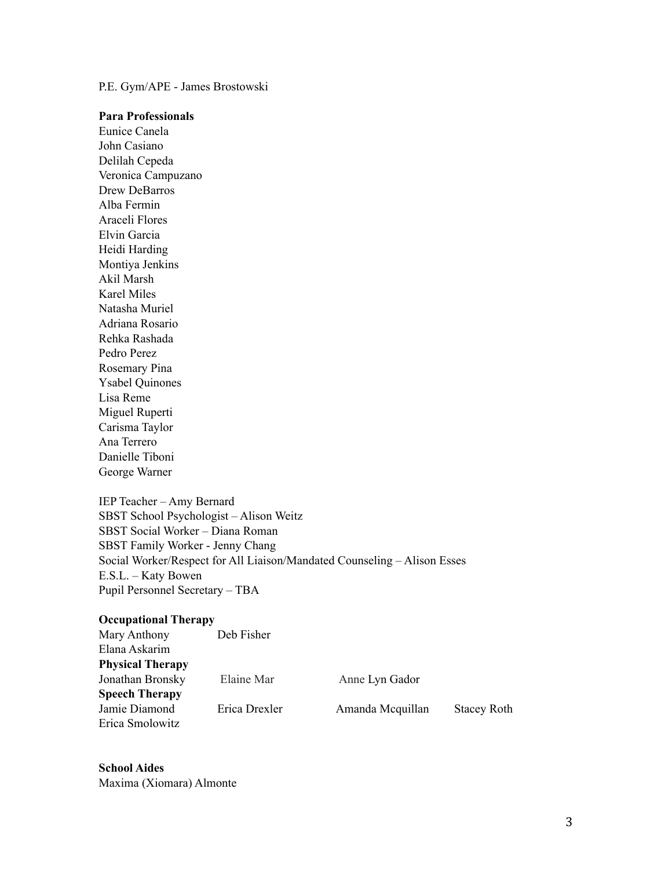P.E. Gym/APE - James Brostowski

#### **Para Professionals**

Eunice Canela John Casiano Delilah Cepeda Veronica Campuzano Drew DeBarros Alba Fermin Araceli Flores Elvin Garcia Heidi Harding Montiya Jenkins Akil Marsh Karel Miles Natasha Muriel Adriana Rosario Rehka Rashada Pedro Perez Rosemary Pina Ysabel Quinones Lisa Reme Miguel Ruperti Carisma Taylor Ana Terrero Danielle Tiboni George Warner

IEP Teacher – Amy Bernard SBST School Psychologist – Alison Weitz SBST Social Worker – Diana Roman SBST Family Worker - Jenny Chang Social Worker/Respect for All Liaison/Mandated Counseling – Alison Esses E.S.L. – Katy Bowen Pupil Personnel Secretary – TBA

#### **Occupational Therapy**

| Mary Anthony            | Deb Fisher    |                  |                    |
|-------------------------|---------------|------------------|--------------------|
| Elana Askarim           |               |                  |                    |
| <b>Physical Therapy</b> |               |                  |                    |
| Jonathan Bronsky        | Elaine Mar    | Anne Lyn Gador   |                    |
| <b>Speech Therapy</b>   |               |                  |                    |
| Jamie Diamond           | Erica Drexler | Amanda Mcquillan | <b>Stacey Roth</b> |
| Erica Smolowitz         |               |                  |                    |

**School Aides** Maxima (Xiomara) Almonte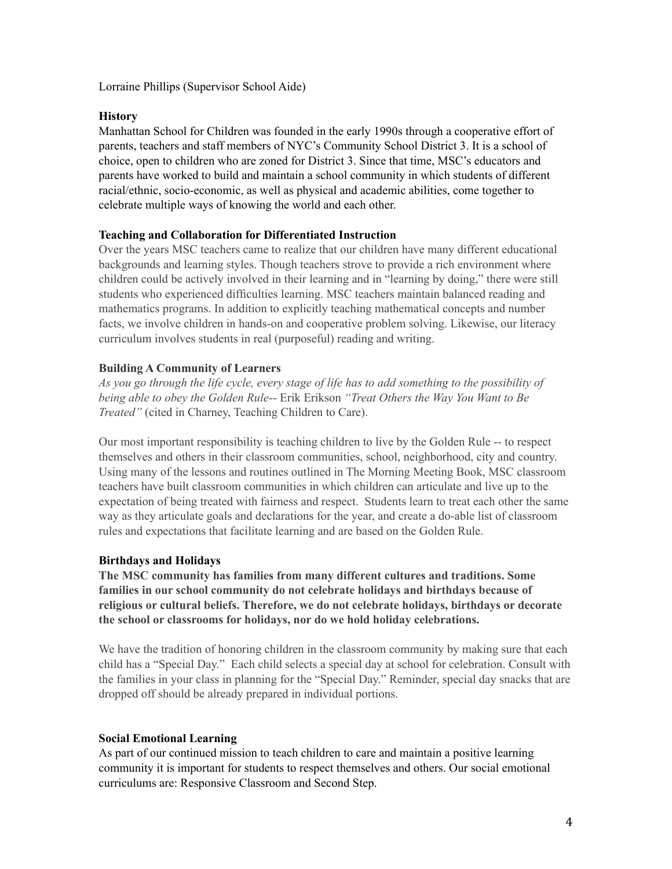Lorraine Phillips (Supervisor School Aide)

### **History**

Manhattan School for Children was founded in the early 1990s through a cooperative effort of parents, teachers and staff members of NYC's Community School District 3. It is a school of choice, open to children who are zoned for District 3. Since that time, MSC's educators and parents have worked to build and maintain a school community in which students of different racial/ethnic, socio-economic, as well as physical and academic abilities, come together to celebrate multiple ways of knowing the world and each other.

# **Teaching and Collaboration for Differentiated Instruction**

Over the years MSC teachers came to realize that our children have many different educational backgrounds and learning styles. Though teachers strove to provide a rich environment where children could be actively involved in their learning and in "learning by doing," there were still students who experienced difficulties learning. MSC teachers maintain balanced reading and mathematics programs. In addition to explicitly teaching mathematical concepts and number facts, we involve children in hands-on and cooperative problem solving. Likewise, our literacy curriculum involves students in real (purposeful) reading and writing.

# **Building A Community of Learners**

As you go through the life cycle, every stage of life has to add something to the possibility of *being able to obey the Golden Rule*-- Erik Erikson *"Treat Others the Way You Want to Be Treated"* (cited in Charney, Teaching Children to Care).

Our most important responsibility is teaching children to live by the Golden Rule -- to respect themselves and others in their classroom communities, school, neighborhood, city and country. Using many of the lessons and routines outlined in The Morning Meeting Book, MSC classroom teachers have built classroom communities in which children can articulate and live up to the expectation of being treated with fairness and respect. Students learn to treat each other the same way as they articulate goals and declarations for the year, and create a do-able list of classroom rules and expectations that facilitate learning and are based on the Golden Rule.

### **Birthdays and Holidays**

**The MSC community has families from many different cultures and traditions. Some families in our school community do not celebrate holidays and birthdays because of religious or cultural beliefs. Therefore, we do not celebrate holidays, birthdays or decorate the school or classrooms for holidays, nor do we hold holiday celebrations.**

We have the tradition of honoring children in the classroom community by making sure that each child has a "Special Day." Each child selects a special day at school for celebration. Consult with the families in your class in planning for the "Special Day." Reminder, special day snacks that are dropped off should be already prepared in individual portions.

### **Social Emotional Learning**

As part of our continued mission to teach children to care and maintain a positive learning community it is important for students to respect themselves and others. Our social emotional curriculums are: Responsive Classroom and Second Step.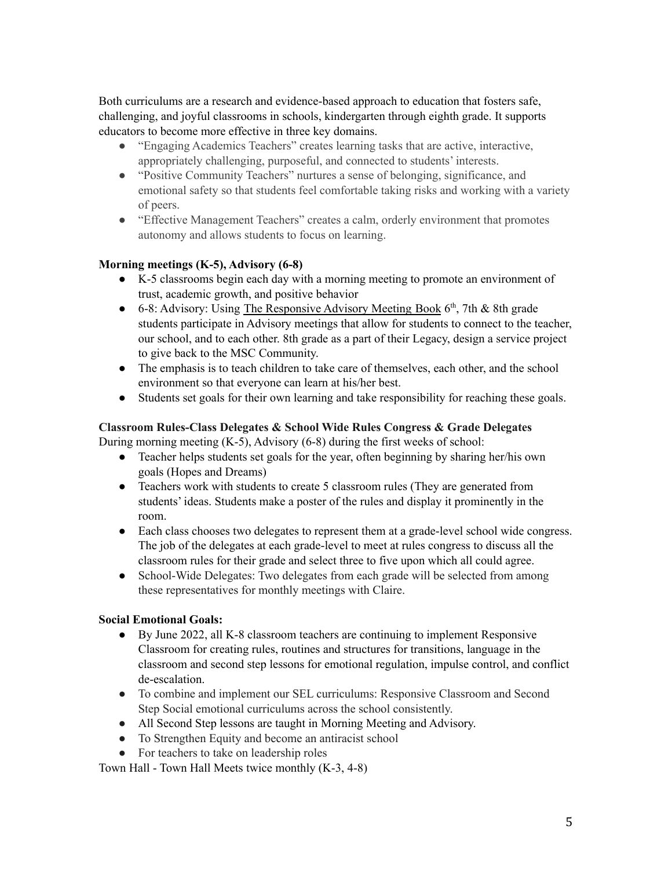Both curriculums are a research and evidence-based approach to education that fosters safe, challenging, and joyful classrooms in schools, kindergarten through eighth grade. It supports educators to become more effective in three key domains.

- "Engaging Academics Teachers" creates learning tasks that are active, interactive, appropriately challenging, purposeful, and connected to students' interests.
- "Positive Community Teachers" nurtures a sense of belonging, significance, and emotional safety so that students feel comfortable taking risks and working with a variety of peers.
- "Effective Management Teachers" creates a calm, orderly environment that promotes autonomy and allows students to focus on learning.

# **Morning meetings (K-5), Advisory (6-8)**

- K-5 classrooms begin each day with a morning meeting to promote an environment of trust, academic growth, and positive behavior
- 6-8: Advisory: Using The Responsive Advisory Meeting Book 6<sup>th</sup>, 7th & 8th grade students participate in Advisory meetings that allow for students to connect to the teacher, our school, and to each other. 8th grade as a part of their Legacy, design a service project to give back to the MSC Community.
- The emphasis is to teach children to take care of themselves, each other, and the school environment so that everyone can learn at his/her best.
- Students set goals for their own learning and take responsibility for reaching these goals.

# **Classroom Rules-Class Delegates & School Wide Rules Congress & Grade Delegates**

During morning meeting (K-5), Advisory (6-8) during the first weeks of school:

- Teacher helps students set goals for the year, often beginning by sharing her/his own goals (Hopes and Dreams)
- Teachers work with students to create 5 classroom rules (They are generated from students' ideas. Students make a poster of the rules and display it prominently in the room.
- Each class chooses two delegates to represent them at a grade-level school wide congress. The job of the delegates at each grade-level to meet at rules congress to discuss all the classroom rules for their grade and select three to five upon which all could agree.
- School-Wide Delegates: Two delegates from each grade will be selected from among these representatives for monthly meetings with Claire.

# **Social Emotional Goals:**

- By June 2022, all K-8 classroom teachers are continuing to implement Responsive Classroom for creating rules, routines and structures for transitions, language in the classroom and second step lessons for emotional regulation, impulse control, and conflict de-escalation.
- To combine and implement our SEL curriculums: Responsive Classroom and Second Step Social emotional curriculums across the school consistently.
- All Second Step lessons are taught in Morning Meeting and Advisory.
- To Strengthen Equity and become an antiracist school
- For teachers to take on leadership roles

Town Hall - Town Hall Meets twice monthly (K-3, 4-8)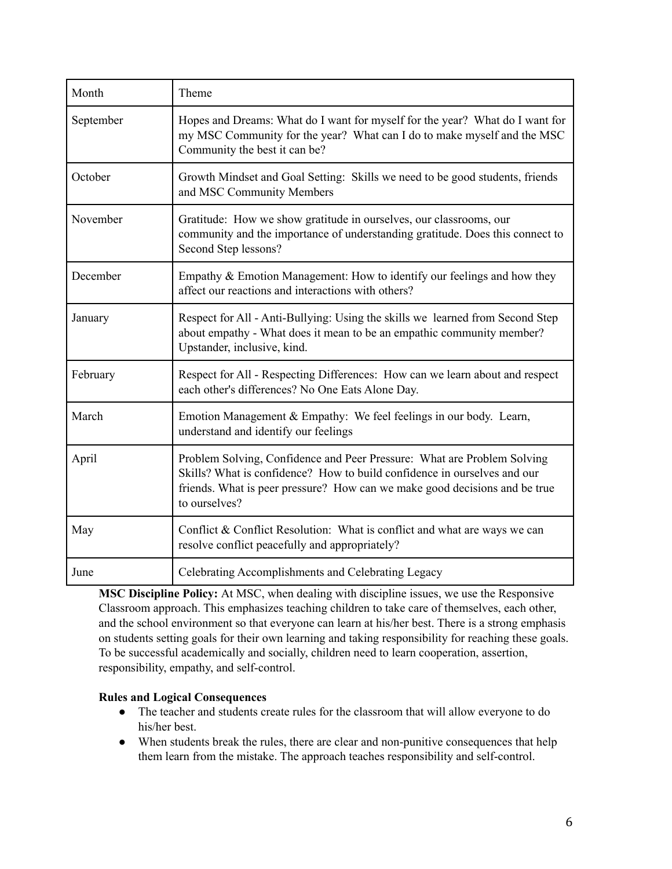| Month     | Theme                                                                                                                                                                                                                                              |
|-----------|----------------------------------------------------------------------------------------------------------------------------------------------------------------------------------------------------------------------------------------------------|
| September | Hopes and Dreams: What do I want for myself for the year? What do I want for<br>my MSC Community for the year? What can I do to make myself and the MSC<br>Community the best it can be?                                                           |
| October   | Growth Mindset and Goal Setting: Skills we need to be good students, friends<br>and MSC Community Members                                                                                                                                          |
| November  | Gratitude: How we show gratitude in ourselves, our classrooms, our<br>community and the importance of understanding gratitude. Does this connect to<br>Second Step lessons?                                                                        |
| December  | Empathy & Emotion Management: How to identify our feelings and how they<br>affect our reactions and interactions with others?                                                                                                                      |
| January   | Respect for All - Anti-Bullying: Using the skills we learned from Second Step<br>about empathy - What does it mean to be an empathic community member?<br>Upstander, inclusive, kind.                                                              |
| February  | Respect for All - Respecting Differences: How can we learn about and respect<br>each other's differences? No One Eats Alone Day.                                                                                                                   |
| March     | Emotion Management & Empathy: We feel feelings in our body. Learn,<br>understand and identify our feelings                                                                                                                                         |
| April     | Problem Solving, Confidence and Peer Pressure: What are Problem Solving<br>Skills? What is confidence? How to build confidence in ourselves and our<br>friends. What is peer pressure? How can we make good decisions and be true<br>to ourselves? |
| May       | Conflict & Conflict Resolution: What is conflict and what are ways we can<br>resolve conflict peacefully and appropriately?                                                                                                                        |
| June      | Celebrating Accomplishments and Celebrating Legacy                                                                                                                                                                                                 |

**MSC Discipline Policy:** At MSC, when dealing with discipline issues, we use the Responsive Classroom approach. This emphasizes teaching children to take care of themselves, each other, and the school environment so that everyone can learn at his/her best. There is a strong emphasis on students setting goals for their own learning and taking responsibility for reaching these goals. To be successful academically and socially, children need to learn cooperation, assertion, responsibility, empathy, and self-control.

# **Rules and Logical Consequences**

- The teacher and students create rules for the classroom that will allow everyone to do his/her best.
- When students break the rules, there are clear and non-punitive consequences that help them learn from the mistake. The approach teaches responsibility and self-control.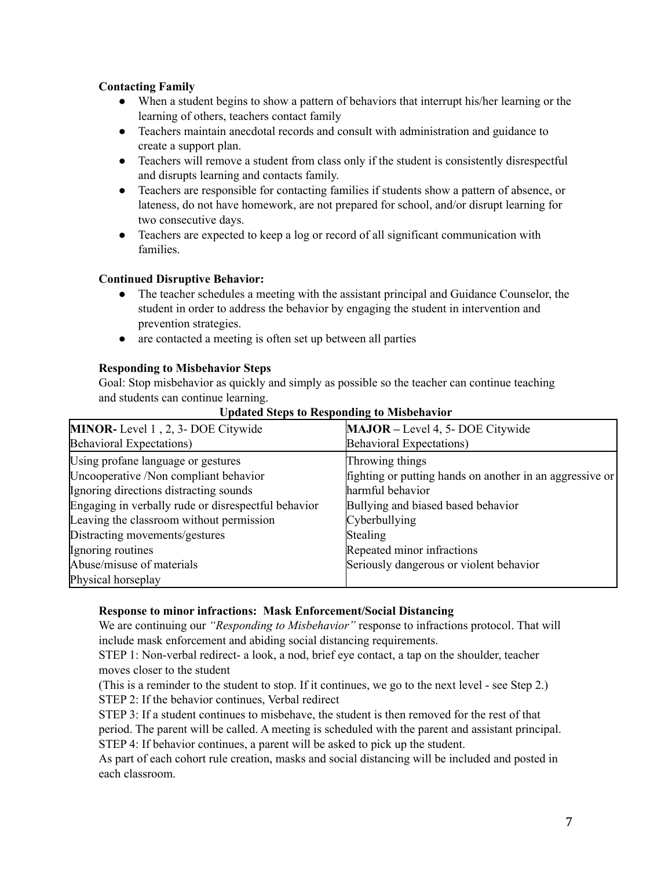# **Contacting Family**

- When a student begins to show a pattern of behaviors that interrupt his/her learning or the learning of others, teachers contact family
- Teachers maintain anecdotal records and consult with administration and guidance to create a support plan.
- Teachers will remove a student from class only if the student is consistently disrespectful and disrupts learning and contacts family.
- Teachers are responsible for contacting families if students show a pattern of absence, or lateness, do not have homework, are not prepared for school, and/or disrupt learning for two consecutive days.
- Teachers are expected to keep a log or record of all significant communication with families.

# **Continued Disruptive Behavior:**

- The teacher schedules a meeting with the assistant principal and Guidance Counselor, the student in order to address the behavior by engaging the student in intervention and prevention strategies.
- are contacted a meeting is often set up between all parties

# **Responding to Misbehavior Steps**

Goal: Stop misbehavior as quickly and simply as possible so the teacher can continue teaching and students can continue learning.

| MINOR- Level 1, 2, 3- DOE Citywide                  | MAJOR - Level 4, 5- DOE Citywide                         |
|-----------------------------------------------------|----------------------------------------------------------|
| <b>Behavioral Expectations)</b>                     | Behavioral Expectations)                                 |
| Using profane language or gestures                  | Throwing things                                          |
| Uncooperative /Non compliant behavior               | fighting or putting hands on another in an aggressive or |
| Ignoring directions distracting sounds              | harmful behavior                                         |
| Engaging in verbally rude or disrespectful behavior | Bullying and biased based behavior                       |
| Leaving the classroom without permission            | Cyberbullying                                            |
| Distracting movements/gestures                      | Stealing                                                 |
| Ignoring routines                                   | Repeated minor infractions                               |
| Abuse/misuse of materials                           | Seriously dangerous or violent behavior                  |
| Physical horseplay                                  |                                                          |

#### **Updated Steps to Responding to Misbehavior**

### **Response to minor infractions: Mask Enforcement/Social Distancing**

We are continuing our *"Responding to Misbehavior"* response to infractions protocol. That will include mask enforcement and abiding social distancing requirements.

STEP 1: Non-verbal redirect- a look, a nod, brief eye contact, a tap on the shoulder, teacher moves closer to the student

(This is a reminder to the student to stop. If it continues, we go to the next level - see Step 2.) STEP 2: If the behavior continues, Verbal redirect

STEP 3: If a student continues to misbehave, the student is then removed for the rest of that period. The parent will be called. A meeting is scheduled with the parent and assistant principal. STEP 4: If behavior continues, a parent will be asked to pick up the student.

As part of each cohort rule creation, masks and social distancing will be included and posted in each classroom.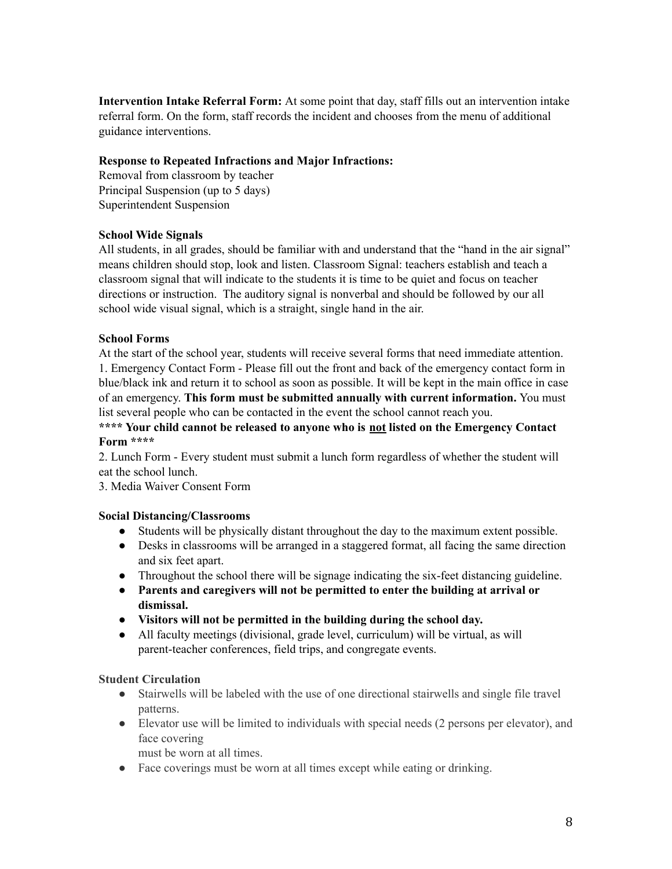**Intervention Intake Referral Form:** At some point that day, staff fills out an intervention intake referral form. On the form, staff records the incident and chooses from the menu of additional guidance interventions.

# **Response to Repeated Infractions and Major Infractions:**

Removal from classroom by teacher Principal Suspension (up to 5 days) Superintendent Suspension

# **School Wide Signals**

All students, in all grades, should be familiar with and understand that the "hand in the air signal" means children should stop, look and listen. Classroom Signal: teachers establish and teach a classroom signal that will indicate to the students it is time to be quiet and focus on teacher directions or instruction. The auditory signal is nonverbal and should be followed by our all school wide visual signal, which is a straight, single hand in the air.

# **School Forms**

At the start of the school year, students will receive several forms that need immediate attention. 1. Emergency Contact Form - Please fill out the front and back of the emergency contact form in blue/black ink and return it to school as soon as possible. It will be kept in the main office in case of an emergency. **This form must be submitted annually with current information.** You must list several people who can be contacted in the event the school cannot reach you.

# **\*\*\*\* Your child cannot be released to anyone who is not listed on the Emergency Contact Form \*\*\*\***

2. Lunch Form - Every student must submit a lunch form regardless of whether the student will eat the school lunch.

3. Media Waiver Consent Form

### **Social Distancing/Classrooms**

- Students will be physically distant throughout the day to the maximum extent possible.
- Desks in classrooms will be arranged in a staggered format, all facing the same direction and six feet apart.
- Throughout the school there will be signage indicating the six-feet distancing guideline.
- **● Parents and caregivers will not be permitted to enter the building at arrival or dismissal.**
- **● Visitors will not be permitted in the building during the school day.**
- All faculty meetings (divisional, grade level, curriculum) will be virtual, as will parent-teacher conferences, field trips, and congregate events.

### **Student Circulation**

- Stairwells will be labeled with the use of one directional stairwells and single file travel patterns.
- Elevator use will be limited to individuals with special needs (2 persons per elevator), and face covering

must be worn at all times.

● Face coverings must be worn at all times except while eating or drinking.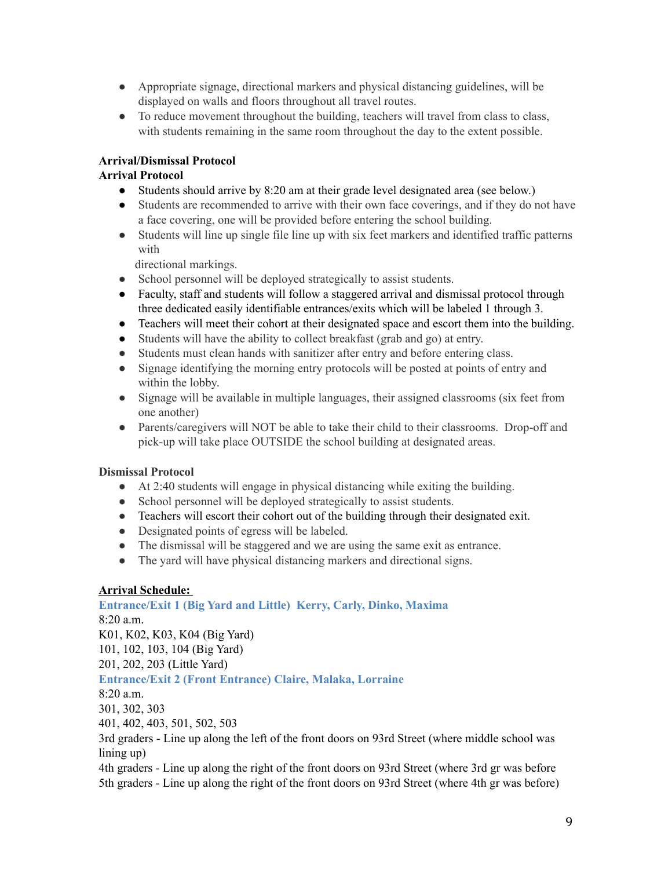- Appropriate signage, directional markers and physical distancing guidelines, will be displayed on walls and floors throughout all travel routes.
- To reduce movement throughout the building, teachers will travel from class to class, with students remaining in the same room throughout the day to the extent possible.

# **Arrival/Dismissal Protocol**

# **Arrival Protocol**

- Students should arrive by 8:20 am at their grade level designated area (see below.)
- Students are recommended to arrive with their own face coverings, and if they do not have a face covering, one will be provided before entering the school building.
- Students will line up single file line up with six feet markers and identified traffic patterns with

directional markings.

- School personnel will be deployed strategically to assist students.
- Faculty, staff and students will follow a staggered arrival and dismissal protocol through three dedicated easily identifiable entrances/exits which will be labeled 1 through 3.
- Teachers will meet their cohort at their designated space and escort them into the building.
- Students will have the ability to collect breakfast (grab and go) at entry.
- Students must clean hands with sanitizer after entry and before entering class.
- Signage identifying the morning entry protocols will be posted at points of entry and within the lobby.
- Signage will be available in multiple languages, their assigned classrooms (six feet from one another)
- Parents/caregivers will NOT be able to take their child to their classrooms. Drop-off and pick-up will take place OUTSIDE the school building at designated areas.

# **Dismissal Protocol**

- At 2:40 students will engage in physical distancing while exiting the building.
- School personnel will be deployed strategically to assist students.
- Teachers will escort their cohort out of the building through their designated exit.
- Designated points of egress will be labeled.
- The dismissal will be staggered and we are using the same exit as entrance.
- The yard will have physical distancing markers and directional signs.

# **Arrival Schedule:**

**Entrance/Exit 1 (Big Yard and Little) Kerry, Carly, Dinko, Maxima** 8:20 a.m. K01, K02, K03, K04 (Big Yard) 101, 102, 103, 104 (Big Yard) 201, 202, 203 (Little Yard) **Entrance/Exit 2 (Front Entrance) Claire, Malaka, Lorraine** 8:20 a.m. 301, 302, 303 401, 402, 403, 501, 502, 503 3rd graders - Line up along the left of the front doors on 93rd Street (where middle school was lining up)

4th graders - Line up along the right of the front doors on 93rd Street (where 3rd gr was before 5th graders - Line up along the right of the front doors on 93rd Street (where 4th gr was before)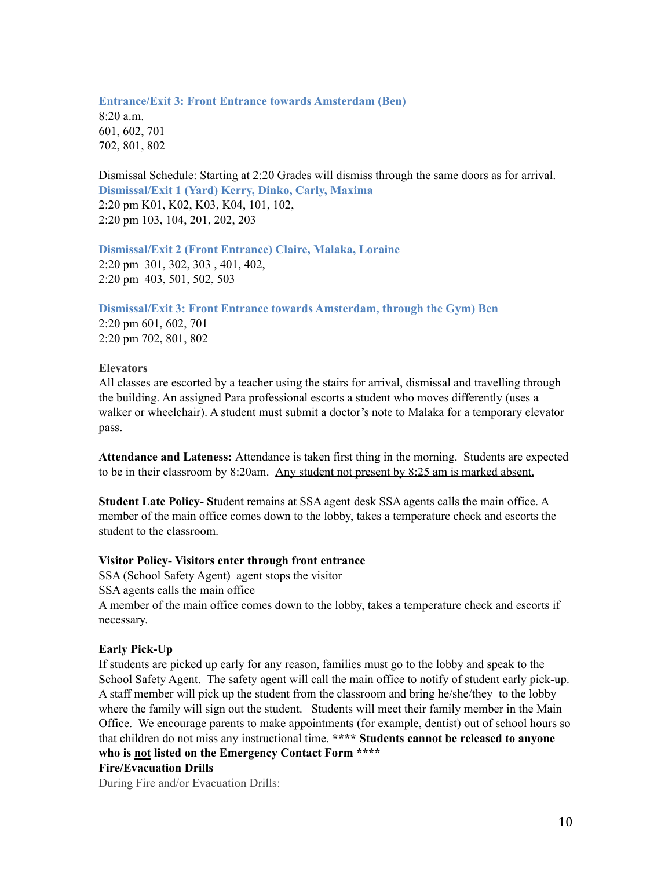# **Entrance/Exit 3: Front Entrance towards Amsterdam (Ben)** 8:20 a.m. 601, 602, 701 702, 801, 802

Dismissal Schedule: Starting at 2:20 Grades will dismiss through the same doors as for arrival. **Dismissal/Exit 1 (Yard) Kerry, Dinko, Carly, Maxima** 2:20 pm K01, K02, K03, K04, 101, 102, 2:20 pm 103, 104, 201, 202, 203

**Dismissal/Exit 2 (Front Entrance) Claire, Malaka, Loraine** 2:20 pm 301, 302, 303 , 401, 402, 2:20 pm 403, 501, 502, 503

**Dismissal/Exit 3: Front Entrance towards Amsterdam, through the Gym) Ben**

2:20 pm 601, 602, 701 2:20 pm 702, 801, 802

#### **Elevators**

All classes are escorted by a teacher using the stairs for arrival, dismissal and travelling through the building. An assigned Para professional escorts a student who moves differently (uses a walker or wheelchair). A student must submit a doctor's note to Malaka for a temporary elevator pass.

**Attendance and Lateness:** Attendance is taken first thing in the morning. Students are expected to be in their classroom by 8:20am. Any student not present by 8:25 am is marked absent.

**Student Late Policy- S**tudent remains at SSA agent desk SSA agents calls the main office. A member of the main office comes down to the lobby, takes a temperature check and escorts the student to the classroom.

# **Visitor Policy- Visitors enter through front entrance**

SSA (School Safety Agent) agent stops the visitor SSA agents calls the main office A member of the main office comes down to the lobby, takes a temperature check and escorts if necessary.

### **Early Pick-Up**

If students are picked up early for any reason, families must go to the lobby and speak to the School Safety Agent. The safety agent will call the main office to notify of student early pick-up. A staff member will pick up the student from the classroom and bring he/she/they to the lobby where the family will sign out the student. Students will meet their family member in the Main Office. We encourage parents to make appointments (for example, dentist) out of school hours so that children do not miss any instructional time. **\*\*\*\* Students cannot be released to anyone who is not listed on the Emergency Contact Form \*\*\*\* Fire/Evacuation Drills**

During Fire and/or Evacuation Drills: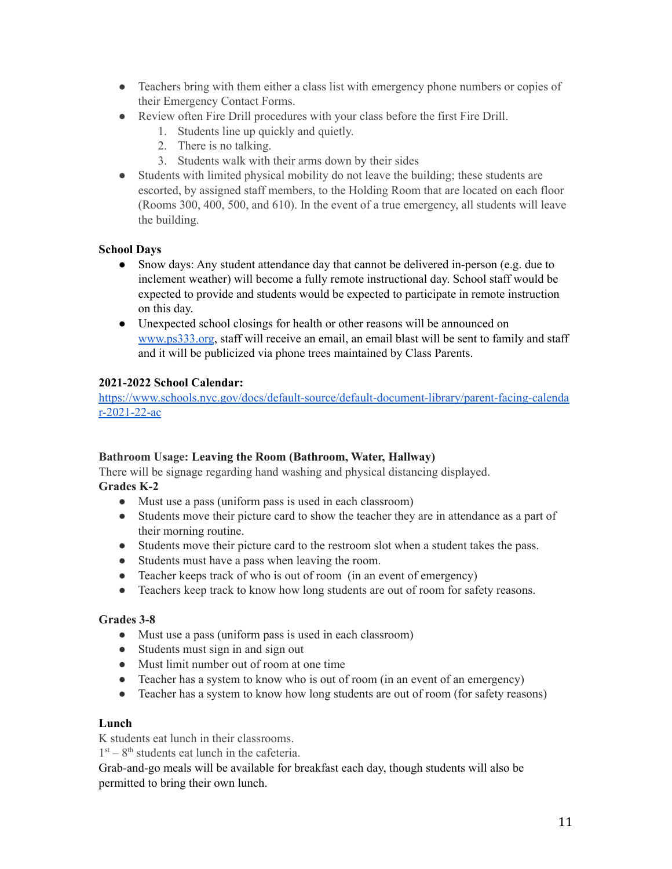- Teachers bring with them either a class list with emergency phone numbers or copies of their Emergency Contact Forms.
- Review often Fire Drill procedures with your class before the first Fire Drill.
	- 1. Students line up quickly and quietly.
	- 2. There is no talking.
	- 3. Students walk with their arms down by their sides
- Students with limited physical mobility do not leave the building; these students are escorted, by assigned staff members, to the Holding Room that are located on each floor (Rooms 300, 400, 500, and 610). In the event of a true emergency, all students will leave the building.

# **School Days**

- Snow days: Any student attendance day that cannot be delivered in-person (e.g. due to inclement weather) will become a fully remote instructional day. School staff would be expected to provide and students would be expected to participate in remote instruction on this day.
- Unexpected school closings for health or other reasons will be announced on [www.ps333.org](http://www.ps333.org), staff will receive an email, an email blast will be sent to family and staff and it will be publicized via phone trees maintained by Class Parents.

# **2021-2022 School Calendar:**

[https://www.schools.nyc.gov/docs/default-source/default-document-library/parent-facing-calenda](https://www.schools.nyc.gov/docs/default-source/default-document-library/parent-facing-calendar-2021-22-ac) [r-2021-22-ac](https://www.schools.nyc.gov/docs/default-source/default-document-library/parent-facing-calendar-2021-22-ac)

### **Bathroom Usage: Leaving the Room (Bathroom, Water, Hallway)**

There will be signage regarding hand washing and physical distancing displayed. **Grades K-2**

- Must use a pass (uniform pass is used in each classroom)
- Students move their picture card to show the teacher they are in attendance as a part of their morning routine.
- Students move their picture card to the restroom slot when a student takes the pass.
- Students must have a pass when leaving the room.
- Teacher keeps track of who is out of room (in an event of emergency)
- Teachers keep track to know how long students are out of room for safety reasons.

### **Grades 3-8**

- Must use a pass (uniform pass is used in each classroom)
- Students must sign in and sign out
- Must limit number out of room at one time
- Teacher has a system to know who is out of room (in an event of an emergency)
- Teacher has a system to know how long students are out of room (for safety reasons)

# **Lunch**

K students eat lunch in their classrooms.

 $1<sup>st</sup> - 8<sup>th</sup>$  students eat lunch in the cafeteria.

Grab-and-go meals will be available for breakfast each day, though students will also be permitted to bring their own lunch.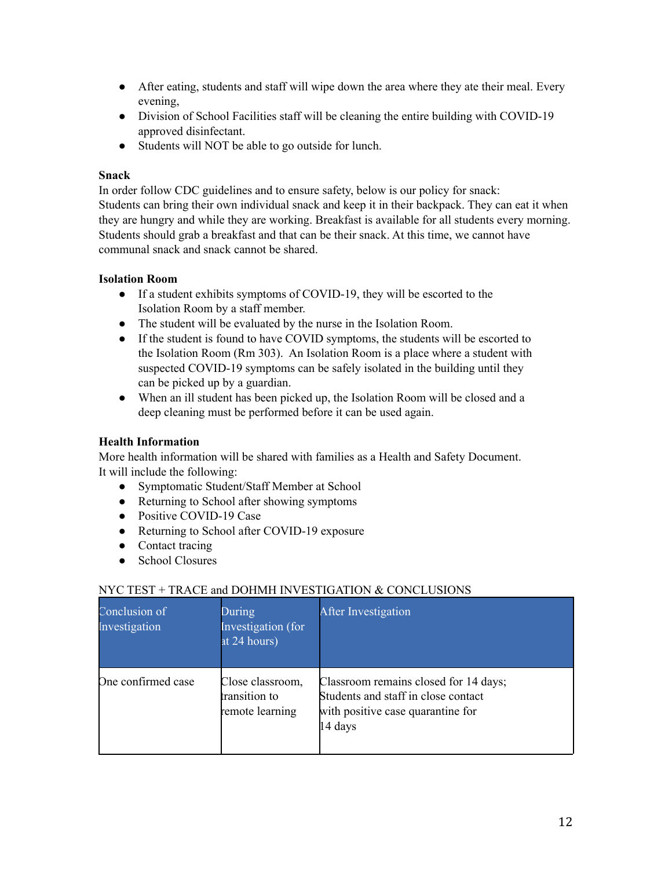- After eating, students and staff will wipe down the area where they ate their meal. Every evening,
- Division of School Facilities staff will be cleaning the entire building with COVID-19 approved disinfectant.
- Students will NOT be able to go outside for lunch.

# **Snack**

In order follow CDC guidelines and to ensure safety, below is our policy for snack: Students can bring their own individual snack and keep it in their backpack. They can eat it when they are hungry and while they are working. Breakfast is available for all students every morning. Students should grab a breakfast and that can be their snack. At this time, we cannot have communal snack and snack cannot be shared.

# **Isolation Room**

- If a student exhibits symptoms of COVID-19, they will be escorted to the Isolation Room by a staff member.
- The student will be evaluated by the nurse in the Isolation Room.
- If the student is found to have COVID symptoms, the students will be escorted to the Isolation Room (Rm 303). An Isolation Room is a place where a student with suspected COVID-19 symptoms can be safely isolated in the building until they can be picked up by a guardian.
- When an ill student has been picked up, the Isolation Room will be closed and a deep cleaning must be performed before it can be used again.

# **Health Information**

More health information will be shared with families as a Health and Safety Document. It will include the following:

- Symptomatic Student/Staff Member at School
- Returning to School after showing symptoms
- Positive COVID-19 Case
- Returning to School after COVID-19 exposure
- Contact tracing
- School Closures

# NYC TEST  $+$  TRACE and DOHMH INVESTIGATION & CONCLUSIONS

| Conclusion of<br>Investigation | During<br>Investigation (for<br>at 24 hours)         | After Investigation                                                                                                          |
|--------------------------------|------------------------------------------------------|------------------------------------------------------------------------------------------------------------------------------|
| One confirmed case             | Close classroom,<br>transition to<br>remote learning | Classroom remains closed for 14 days;<br>Students and staff in close contact<br>with positive case quarantine for<br>14 days |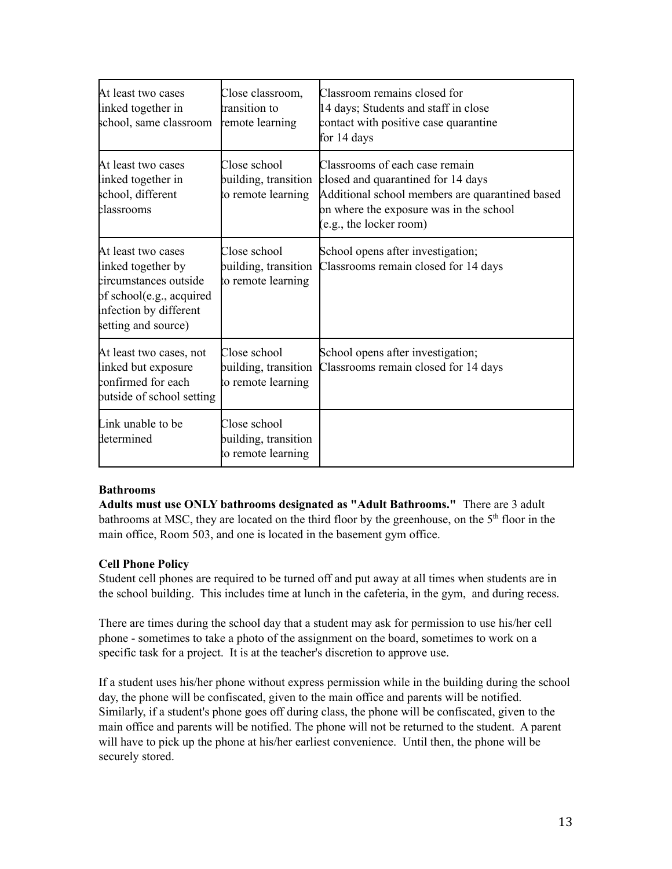| At least two cases<br>inked together in<br>school, same classroom                                                                             | Close classroom,<br>transition to<br>remote learning       | Classroom remains closed for<br>14 days; Students and staff in close<br>contact with positive case quarantine<br>for 14 days                                                                  |
|-----------------------------------------------------------------------------------------------------------------------------------------------|------------------------------------------------------------|-----------------------------------------------------------------------------------------------------------------------------------------------------------------------------------------------|
| At least two cases<br>inked together in<br>school, different<br>classrooms                                                                    | Close school<br>building, transition<br>to remote learning | Classrooms of each case remain<br>closed and quarantined for 14 days<br>Additional school members are quarantined based<br>on where the exposure was in the school<br>(e.g., the locker room) |
| At least two cases<br>inked together by<br>circumstances outside<br>of school(e.g., acquired<br>infection by different<br>setting and source) | Close school<br>building, transition<br>to remote learning | School opens after investigation;<br>Classrooms remain closed for 14 days                                                                                                                     |
| At least two cases, not<br>inked but exposure<br>confirmed for each<br>putside of school setting                                              | Close school<br>building, transition<br>to remote learning | School opens after investigation;<br>Classrooms remain closed for 14 days                                                                                                                     |
| Link unable to be<br>determined                                                                                                               | Close school<br>building, transition<br>to remote learning |                                                                                                                                                                                               |

# **Bathrooms**

**Adults must use ONLY bathrooms designated as "Adult Bathrooms."** There are 3 adult bathrooms at MSC, they are located on the third floor by the greenhouse, on the 5<sup>th</sup> floor in the main office, Room 503, and one is located in the basement gym office.

# **Cell Phone Policy**

Student cell phones are required to be turned off and put away at all times when students are in the school building. This includes time at lunch in the cafeteria, in the gym, and during recess.

There are times during the school day that a student may ask for permission to use his/her cell phone - sometimes to take a photo of the assignment on the board, sometimes to work on a specific task for a project. It is at the teacher's discretion to approve use.

If a student uses his/her phone without express permission while in the building during the school day, the phone will be confiscated, given to the main office and parents will be notified. Similarly, if a student's phone goes off during class, the phone will be confiscated, given to the main office and parents will be notified. The phone will not be returned to the student. A parent will have to pick up the phone at his/her earliest convenience. Until then, the phone will be securely stored.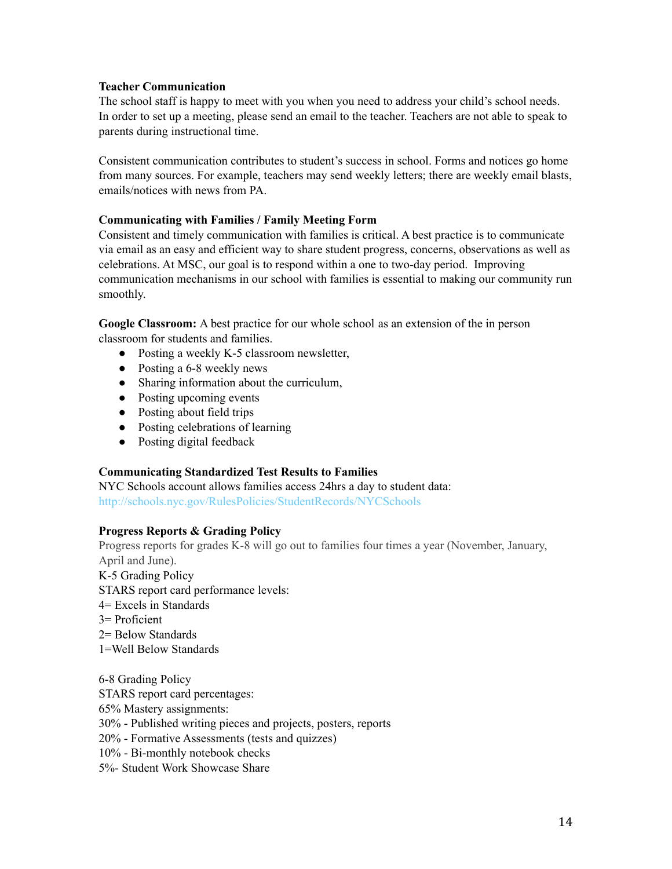# **Teacher Communication**

The school staff is happy to meet with you when you need to address your child's school needs. In order to set up a meeting, please send an email to the teacher. Teachers are not able to speak to parents during instructional time.

Consistent communication contributes to student's success in school. Forms and notices go home from many sources. For example, teachers may send weekly letters; there are weekly email blasts, emails/notices with news from PA.

# **Communicating with Families / Family Meeting Form**

Consistent and timely communication with families is critical. A best practice is to communicate via email as an easy and efficient way to share student progress, concerns, observations as well as celebrations. At MSC, our goal is to respond within a one to two-day period. Improving communication mechanisms in our school with families is essential to making our community run smoothly.

**Google Classroom:** A best practice for our whole school as an extension of the in person classroom for students and families.

- Posting a weekly K-5 classroom newsletter,
- Posting a 6-8 weekly news
- Sharing information about the curriculum,
- Posting upcoming events
- Posting about field trips
- Posting celebrations of learning
- Posting digital feedback

### **Communicating Standardized Test Results to Families**

NYC Schools account allows families access 24hrs a day to student data: http://schools.nyc.gov/RulesPolicies/StudentRecords/NYCSchools

### **Progress Reports & Grading Policy**

Progress reports for grades K-8 will go out to families four times a year (November, January, April and June).

K-5 Grading Policy

STARS report card performance levels:

- 4= Excels in Standards
- 3= Proficient
- 2= Below Standards
- 1=Well Below Standards

6-8 Grading Policy STARS report card percentages: 65% Mastery assignments: 30% - Published writing pieces and projects, posters, reports 20% - Formative Assessments (tests and quizzes) 10% - Bi-monthly notebook checks 5%- Student Work Showcase Share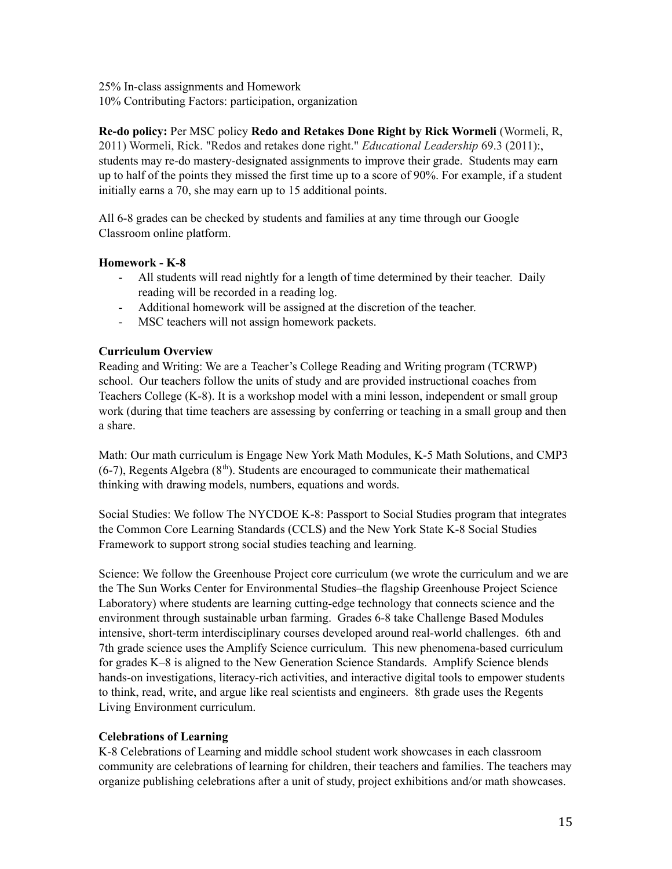25% In-class assignments and Homework 10% Contributing Factors: participation, organization

**Re-do policy:** Per MSC policy **Redo and Retakes Done Right by Rick Wormeli** (Wormeli, R, 2011) Wormeli, Rick. "Redos and retakes done right." *Educational Leadership* 69.3 (2011):, students may re-do mastery-designated assignments to improve their grade. Students may earn up to half of the points they missed the first time up to a score of 90%. For example, if a student initially earns a 70, she may earn up to 15 additional points.

All 6-8 grades can be checked by students and families at any time through our Google Classroom online platform.

# **Homework - K-8**

- All students will read nightly for a length of time determined by their teacher. Daily reading will be recorded in a reading log.
- Additional homework will be assigned at the discretion of the teacher.
- MSC teachers will not assign homework packets.

# **Curriculum Overview**

Reading and Writing: We are a Teacher's College Reading and Writing program (TCRWP) school. Our teachers follow the units of study and are provided instructional coaches from Teachers College (K-8). It is a workshop model with a mini lesson, independent or small group work (during that time teachers are assessing by conferring or teaching in a small group and then a share.

Math: Our math curriculum is Engage New York Math Modules, K-5 Math Solutions, and CMP3  $(6-7)$ , Regents Algebra  $(8<sup>th</sup>)$ . Students are encouraged to communicate their mathematical thinking with drawing models, numbers, equations and words.

Social Studies: We follow The NYCDOE K-8: Passport to Social Studies program that integrates the Common Core Learning Standards (CCLS) and the New York State K-8 Social Studies Framework to support strong social studies teaching and learning.

Science: We follow the Greenhouse Project core curriculum (we wrote the curriculum and we are the The Sun Works Center for Environmental Studies–the flagship Greenhouse Project Science Laboratory) where students are learning cutting-edge technology that connects science and the environment through sustainable urban farming. Grades 6-8 take Challenge Based Modules intensive, short-term interdisciplinary courses developed around real-world challenges. 6th and 7th grade science uses the Amplify Science curriculum. This new phenomena-based curriculum for grades K–8 is aligned to the New Generation Science Standards. Amplify Science blends hands-on investigations, literacy-rich activities, and interactive digital tools to empower students to think, read, write, and argue like real scientists and engineers. 8th grade uses the Regents Living Environment curriculum.

# **Celebrations of Learning**

K-8 Celebrations of Learning and middle school student work showcases in each classroom community are celebrations of learning for children, their teachers and families. The teachers may organize publishing celebrations after a unit of study, project exhibitions and/or math showcases.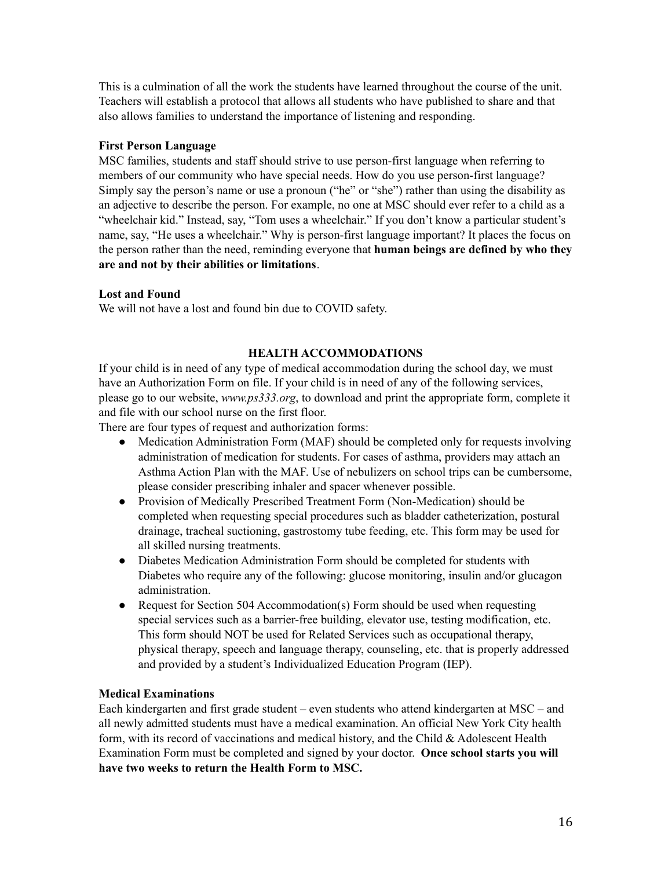This is a culmination of all the work the students have learned throughout the course of the unit. Teachers will establish a protocol that allows all students who have published to share and that also allows families to understand the importance of listening and responding.

### **First Person Language**

MSC families, students and staff should strive to use person-first language when referring to members of our community who have special needs. How do you use person-first language? Simply say the person's name or use a pronoun ("he" or "she") rather than using the disability as an adjective to describe the person. For example, no one at MSC should ever refer to a child as a "wheelchair kid." Instead, say, "Tom uses a wheelchair." If you don't know a particular student's name, say, "He uses a wheelchair." Why is person-first language important? It places the focus on the person rather than the need, reminding everyone that **human beings are defined by who they are and not by their abilities or limitations**.

# **Lost and Found**

We will not have a lost and found bin due to COVID safety.

# **HEALTH ACCOMMODATIONS**

If your child is in need of any type of medical accommodation during the school day, we must have an Authorization Form on file. If your child is in need of any of the following services, please go to our website, *www.ps333.org*, to download and print the appropriate form, complete it and file with our school nurse on the first floor.

There are four types of request and authorization forms:

- Medication Administration Form (MAF) should be completed only for requests involving administration of medication for students. For cases of asthma, providers may attach an Asthma Action Plan with the MAF. Use of nebulizers on school trips can be cumbersome, please consider prescribing inhaler and spacer whenever possible.
- Provision of Medically Prescribed Treatment Form (Non-Medication) should be completed when requesting special procedures such as bladder catheterization, postural drainage, tracheal suctioning, gastrostomy tube feeding, etc. This form may be used for all skilled nursing treatments.
- Diabetes Medication Administration Form should be completed for students with Diabetes who require any of the following: glucose monitoring, insulin and/or glucagon administration.
- Request for Section 504 Accommodation(s) Form should be used when requesting special services such as a barrier-free building, elevator use, testing modification, etc. This form should NOT be used for Related Services such as occupational therapy, physical therapy, speech and language therapy, counseling, etc. that is properly addressed and provided by a student's Individualized Education Program (IEP).

### **Medical Examinations**

Each kindergarten and first grade student – even students who attend kindergarten at MSC – and all newly admitted students must have a medical examination. An official New York City health form, with its record of vaccinations and medical history, and the Child & Adolescent Health Examination Form must be completed and signed by your doctor. **Once school starts you will have two weeks to return the Health Form to MSC.**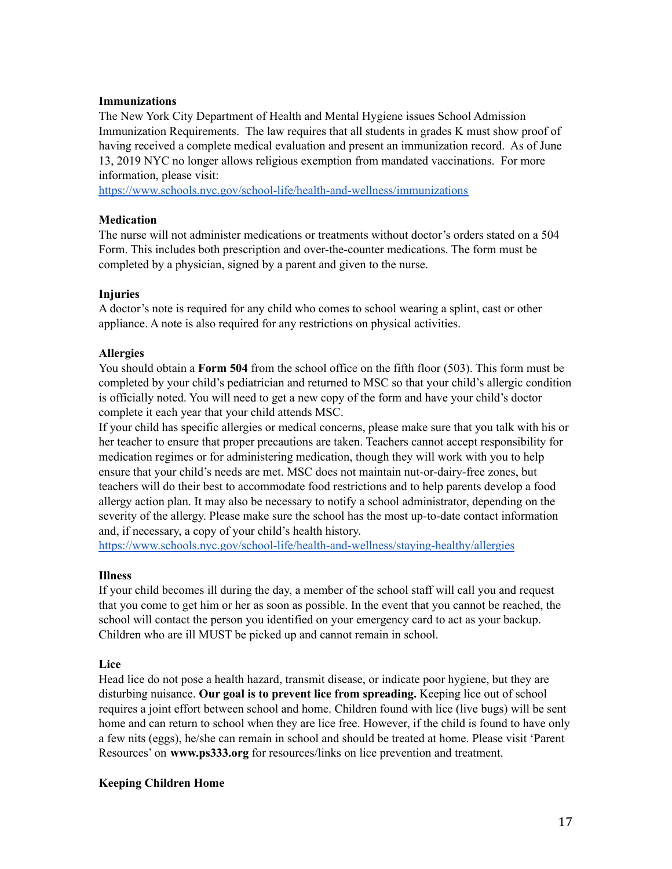### **Immunizations**

The New York City Department of Health and Mental Hygiene issues School Admission Immunization Requirements. The law requires that all students in grades K must show proof of having received a complete medical evaluation and present an immunization record. As of June 13, 2019 NYC no longer allows religious exemption from mandated vaccinations. For more information, please visit:

<https://www.schools.nyc.gov/school-life/health-and-wellness/immunizations>

### **Medication**

The nurse will not administer medications or treatments without doctor's orders stated on a 504 Form. This includes both prescription and over-the-counter medications. The form must be completed by a physician, signed by a parent and given to the nurse.

### **Injuries**

A doctor's note is required for any child who comes to school wearing a splint, cast or other appliance. A note is also required for any restrictions on physical activities.

### **Allergies**

You should obtain a **Form 504** from the school office on the fifth floor (503). This form must be completed by your child's pediatrician and returned to MSC so that your child's allergic condition is officially noted. You will need to get a new copy of the form and have your child's doctor complete it each year that your child attends MSC.

If your child has specific allergies or medical concerns, please make sure that you talk with his or her teacher to ensure that proper precautions are taken. Teachers cannot accept responsibility for medication regimes or for administering medication, though they will work with you to help ensure that your child's needs are met. MSC does not maintain nut-or-dairy-free zones, but teachers will do their best to accommodate food restrictions and to help parents develop a food allergy action plan. It may also be necessary to notify a school administrator, depending on the severity of the allergy. Please make sure the school has the most up-to-date contact information and, if necessary, a copy of your child's health history.

<https://www.schools.nyc.gov/school-life/health-and-wellness/staying-healthy/allergies>

### **Illness**

If your child becomes ill during the day, a member of the school staff will call you and request that you come to get him or her as soon as possible. In the event that you cannot be reached, the school will contact the person you identified on your emergency card to act as your backup. Children who are ill MUST be picked up and cannot remain in school.

### **Lice**

Head lice do not pose a health hazard, transmit disease, or indicate poor hygiene, but they are disturbing nuisance. **Our goal is to prevent lice from spreading.** Keeping lice out of school requires a joint effort between school and home. Children found with lice (live bugs) will be sent home and can return to school when they are lice free. However, if the child is found to have only a few nits (eggs), he/she can remain in school and should be treated at home. Please visit 'Parent Resources' on **www.ps333.org** for resources/links on lice prevention and treatment.

#### **Keeping Children Home**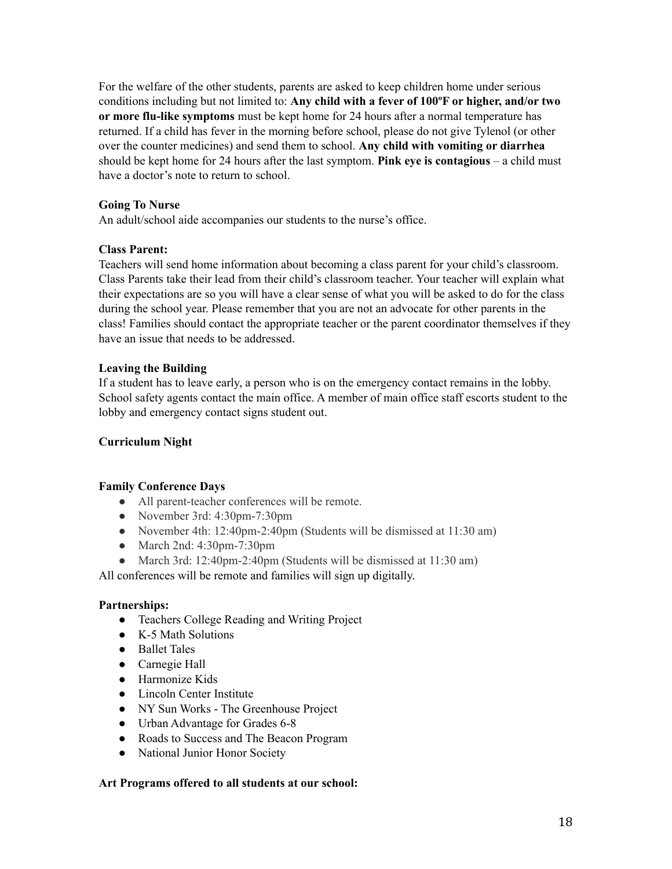For the welfare of the other students, parents are asked to keep children home under serious conditions including but not limited to: **Any child with a fever of 100ºF or higher, and/or two or more flu-like symptoms** must be kept home for 24 hours after a normal temperature has returned. If a child has fever in the morning before school, please do not give Tylenol (or other over the counter medicines) and send them to school. **Any child with vomiting or diarrhea** should be kept home for 24 hours after the last symptom. **Pink eye is contagious** – a child must have a doctor's note to return to school.

# **Going To Nurse**

An adult/school aide accompanies our students to the nurse's office.

# **Class Parent:**

Teachers will send home information about becoming a class parent for your child's classroom. Class Parents take their lead from their child's classroom teacher. Your teacher will explain what their expectations are so you will have a clear sense of what you will be asked to do for the class during the school year. Please remember that you are not an advocate for other parents in the class! Families should contact the appropriate teacher or the parent coordinator themselves if they have an issue that needs to be addressed.

# **Leaving the Building**

If a student has to leave early, a person who is on the emergency contact remains in the lobby. School safety agents contact the main office. A member of main office staff escorts student to the lobby and emergency contact signs student out.

### **Curriculum Night**

### **Family Conference Days**

- All parent-teacher conferences will be remote.
- November 3rd: 4:30pm-7:30pm
- November 4th: 12:40pm-2:40pm (Students will be dismissed at 11:30 am)
- March 2nd: 4:30pm-7:30pm
- March 3rd: 12:40pm-2:40pm (Students will be dismissed at 11:30 am)

All conferences will be remote and families will sign up digitally.

### **Partnerships:**

- Teachers College Reading and Writing Project
- K-5 Math Solutions
- Ballet Tales
- Carnegie Hall
- Harmonize Kids
- Lincoln Center Institute
- NY Sun Works The Greenhouse Project
- Urban Advantage for Grades 6-8
- Roads to Success and The Beacon Program
- National Junior Honor Society

### **Art Programs offered to all students at our school:**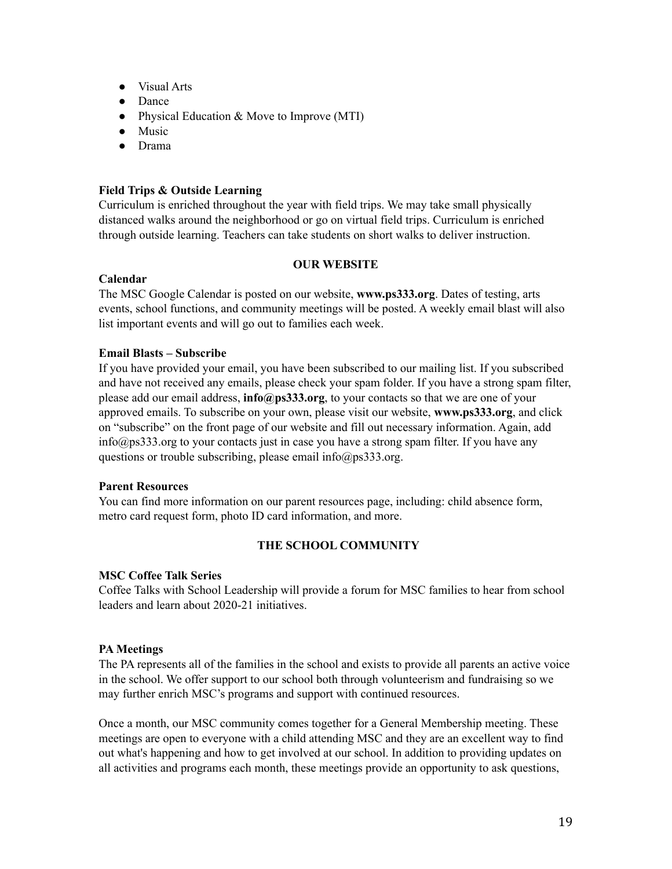- Visual Arts
- Dance
- Physical Education & Move to Improve (MTI)
- Music
- Drama

# **Field Trips & Outside Learning**

Curriculum is enriched throughout the year with field trips. We may take small physically distanced walks around the neighborhood or go on virtual field trips. Curriculum is enriched through outside learning. Teachers can take students on short walks to deliver instruction.

#### **OUR WEBSITE**

### **Calendar**

The MSC Google Calendar is posted on our website, **www.ps333.org**. Dates of testing, arts events, school functions, and community meetings will be posted. A weekly email blast will also list important events and will go out to families each week.

# **Email Blasts – Subscribe**

If you have provided your email, you have been subscribed to our mailing list. If you subscribed and have not received any emails, please check your spam folder. If you have a strong spam filter, please add our email address, **info@ps333.org**, to your contacts so that we are one of your approved emails. To subscribe on your own, please visit our website, **www.ps333.org**, and click on "subscribe" on the front page of our website and fill out necessary information. Again, add info@ps333.org to your contacts just in case you have a strong spam filter. If you have any questions or trouble subscribing, please email info@ps333.org.

### **Parent Resources**

You can find more information on our parent resources page, including: child absence form, metro card request form, photo ID card information, and more.

# **THE SCHOOL COMMUNITY**

### **MSC Coffee Talk Series**

Coffee Talks with School Leadership will provide a forum for MSC families to hear from school leaders and learn about 2020-21 initiatives.

### **PA Meetings**

The PA represents all of the families in the school and exists to provide all parents an active voice in the school. We offer support to our school both through volunteerism and fundraising so we may further enrich MSC's programs and support with continued resources.

Once a month, our MSC community comes together for a General Membership meeting. These meetings are open to everyone with a child attending MSC and they are an excellent way to find out what's happening and how to get involved at our school. In addition to providing updates on all activities and programs each month, these meetings provide an opportunity to ask questions,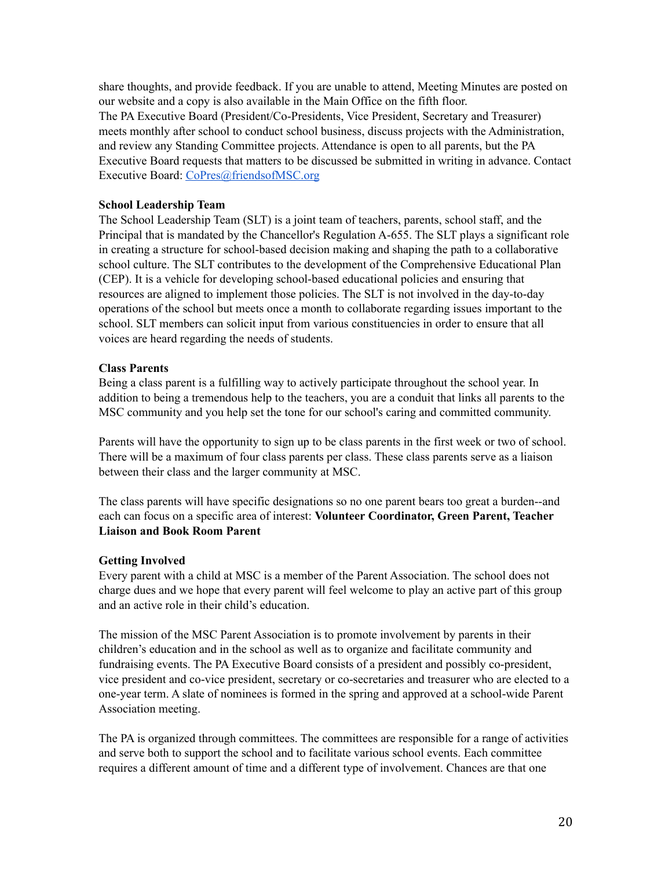share thoughts, and provide feedback. If you are unable to attend, Meeting Minutes are posted on our website and a copy is also available in the Main Office on the fifth floor. The PA Executive Board (President/Co-Presidents, Vice President, Secretary and Treasurer) meets monthly after school to conduct school business, discuss projects with the Administration, and review any Standing Committee projects. Attendance is open to all parents, but the PA Executive Board requests that matters to be discussed be submitted in writing in advance. Contact Executive Board: CoPres@friendsofMSC.org

# **School Leadership Team**

The School Leadership Team (SLT) is a joint team of teachers, parents, school staff, and the Principal that is mandated by the Chancellor's Regulation A-655. The SLT plays a significant role in creating a structure for school-based decision making and shaping the path to a collaborative school culture. The SLT contributes to the development of the Comprehensive Educational Plan (CEP). It is a vehicle for developing school-based educational policies and ensuring that resources are aligned to implement those policies. The SLT is not involved in the day-to-day operations of the school but meets once a month to collaborate regarding issues important to the school. SLT members can solicit input from various constituencies in order to ensure that all voices are heard regarding the needs of students.

# **Class Parents**

Being a class parent is a fulfilling way to actively participate throughout the school year. In addition to being a tremendous help to the teachers, you are a conduit that links all parents to the MSC community and you help set the tone for our school's caring and committed community.

Parents will have the opportunity to sign up to be class parents in the first week or two of school. There will be a maximum of four class parents per class. These class parents serve as a liaison between their class and the larger community at MSC.

The class parents will have specific designations so no one parent bears too great a burden--and each can focus on a specific area of interest: **Volunteer Coordinator, Green Parent, Teacher Liaison and Book Room Parent**

### **Getting Involved**

Every parent with a child at MSC is a member of the Parent Association. The school does not charge dues and we hope that every parent will feel welcome to play an active part of this group and an active role in their child's education.

The mission of the MSC Parent Association is to promote involvement by parents in their children's education and in the school as well as to organize and facilitate community and fundraising events. The PA Executive Board consists of a president and possibly co-president, vice president and co-vice president, secretary or co-secretaries and treasurer who are elected to a one-year term. A slate of nominees is formed in the spring and approved at a school-wide Parent Association meeting.

The PA is organized through committees. The committees are responsible for a range of activities and serve both to support the school and to facilitate various school events. Each committee requires a different amount of time and a different type of involvement. Chances are that one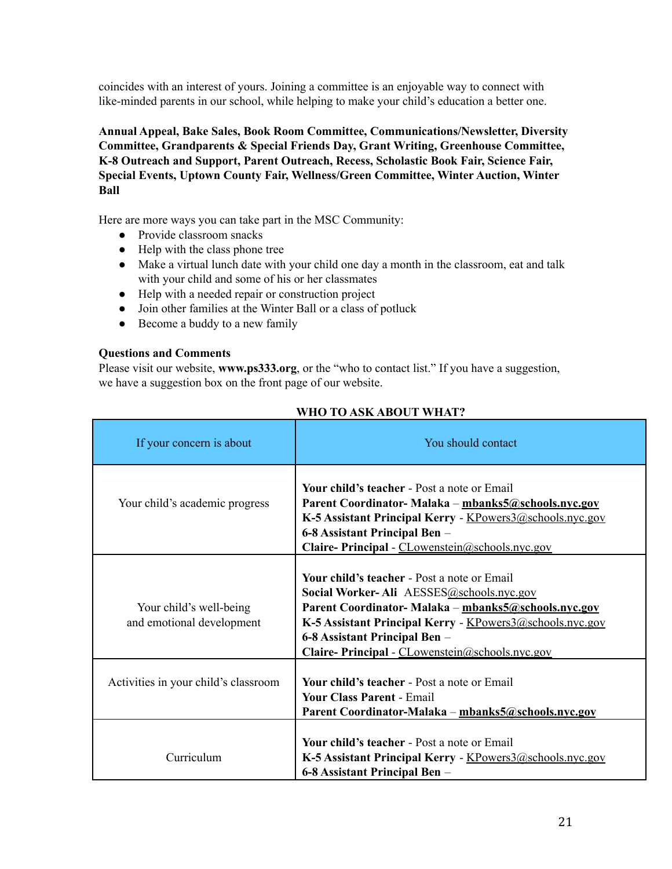coincides with an interest of yours. Joining a committee is an enjoyable way to connect with like-minded parents in our school, while helping to make your child's education a better one.

**Annual Appeal, Bake Sales, Book Room Committee, Communications/Newsletter, Diversity Committee, Grandparents & Special Friends Day, Grant Writing, Greenhouse Committee, K-8 Outreach and Support, Parent Outreach, Recess, Scholastic Book Fair, Science Fair, Special Events, Uptown County Fair, Wellness/Green Committee, Winter Auction, Winter Ball**

Here are more ways you can take part in the MSC Community:

- Provide classroom snacks
- Help with the class phone tree
- Make a virtual lunch date with your child one day a month in the classroom, eat and talk with your child and some of his or her classmates
- Help with a needed repair or construction project
- Join other families at the Winter Ball or a class of potluck
- Become a buddy to a new family

# **Questions and Comments**

Please visit our website, **www.ps333.org**, or the "who to contact list." If you have a suggestion, we have a suggestion box on the front page of our website.

| If your concern is about                             | You should contact                                                                                                                                                                                                                                                                                    |
|------------------------------------------------------|-------------------------------------------------------------------------------------------------------------------------------------------------------------------------------------------------------------------------------------------------------------------------------------------------------|
| Your child's academic progress                       | <b>Your child's teacher - Post a note or Email</b><br>Parent Coordinator- Malaka – mbanks5@schools.nyc.gov<br>K-5 Assistant Principal Kerry - KPowers3@schools.nyc.gov<br>6-8 Assistant Principal Ben –<br>Claire- Principal - CLowenstein@schools.nyc.gov                                            |
| Your child's well-being<br>and emotional development | <b>Your child's teacher - Post a note or Email</b><br>Social Worker-Ali AESSES@schools.nyc.gov<br>Parent Coordinator-Malaka - mbanks5@schools.nyc.gov<br>K-5 Assistant Principal Kerry - KPowers3@schools.nyc.gov<br>6-8 Assistant Principal Ben –<br>Claire- Principal - CLowenstein@schools.nyc.gov |
| Activities in your child's classroom                 | <b>Your child's teacher - Post a note or Email</b><br><b>Your Class Parent - Email</b><br>Parent Coordinator-Malaka – mbanks5@schools.nyc.gov                                                                                                                                                         |
| Curriculum                                           | Your child's teacher - Post a note or Email<br>K-5 Assistant Principal Kerry - KPowers3@schools.nyc.gov<br>6-8 Assistant Principal Ben –                                                                                                                                                              |

# **WHO TO ASK ABOUT WHAT?**